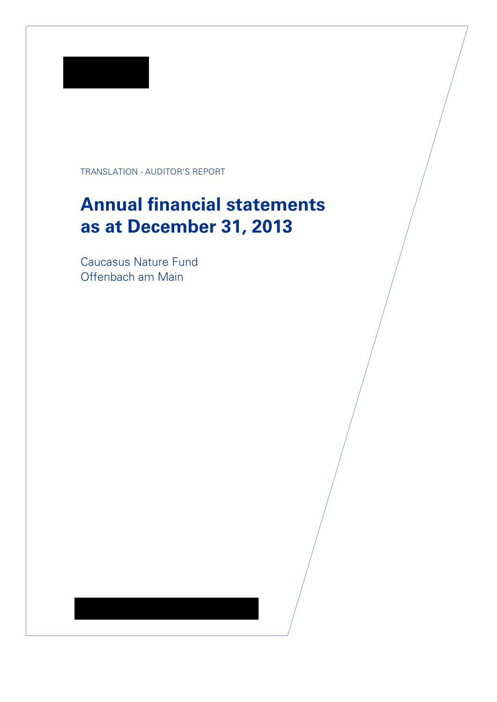

TRANSLATION - AUDITOR'S REPORT

# Annual financial statements as at December 31, 2013

Caucasus Nature Fund Offenbach am Main

KPMG AG Wirtschaftsprüfungsgesellschaft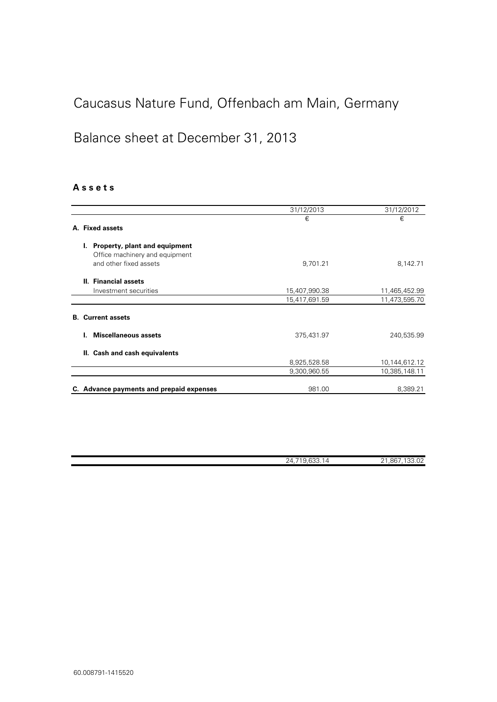### Balance sheet at December 31, 2013

### A s s e t s

|                                                                       | 31/12/2013    | 31/12/2012    |
|-----------------------------------------------------------------------|---------------|---------------|
|                                                                       | €             | €             |
| A. Fixed assets                                                       |               |               |
| Property, plant and equipment<br>L.<br>Office machinery and equipment |               |               |
| and other fixed assets                                                | 9,701.21      | 8,142.71      |
| II. Financial assets                                                  |               |               |
| Investment securities                                                 | 15,407,990.38 | 11,465,452.99 |
|                                                                       | 15,417,691.59 | 11,473,595.70 |
| <b>B.</b> Current assets                                              |               |               |
| <b>Miscellaneous assets</b>                                           | 375,431.97    | 240,535.99    |
| II. Cash and cash equivalents                                         |               |               |
|                                                                       | 8,925,528.58  | 10,144,612.12 |
|                                                                       | 9,300,960.55  | 10,385,148.11 |
| C. Advance payments and prepaid expenses                              | 981.00        | 8,389.21      |

| . <b>.</b> .<br>$\sim$<br>,, | $.86$ <sup>-</sup><br>$\sim$<br>O 1<br>. v 2<br>-<br>- - |
|------------------------------|----------------------------------------------------------|
|                              |                                                          |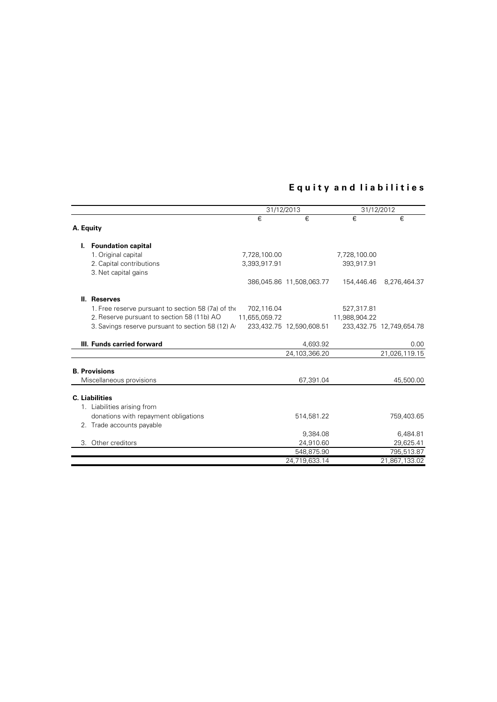### Equity and liabilities

|                                                    | 31/12/2013    |                          |               | 31/12/2012               |  |
|----------------------------------------------------|---------------|--------------------------|---------------|--------------------------|--|
|                                                    | €             | €                        | €             | €                        |  |
| A. Equity                                          |               |                          |               |                          |  |
| I. Foundation capital                              |               |                          |               |                          |  |
| 1. Original capital                                | 7,728,100.00  |                          | 7,728,100.00  |                          |  |
| 2. Capital contributions<br>3. Net capital gains   | 3,393,917.91  |                          | 393,917.91    |                          |  |
|                                                    |               | 386,045.86 11,508,063.77 | 154,446.46    | 8,276,464.37             |  |
| II. Reserves                                       |               |                          |               |                          |  |
| 1. Free reserve pursuant to section 58 (7a) of the | 702,116.04    |                          | 527,317.81    |                          |  |
| 2. Reserve pursuant to section 58 (11b) AO         | 11,655,059.72 |                          | 11,988,904.22 |                          |  |
| 3. Savings reserve pursuant to section 58 (12) A   |               | 233,432.75 12,590,608.51 |               | 233,432.75 12,749,654.78 |  |
| III. Funds carried forward                         |               | 4,693.92                 |               | 0.00                     |  |
|                                                    |               | 24,103,366.20            |               | 21,026,119.15            |  |
| <b>B. Provisions</b>                               |               |                          |               |                          |  |
| Miscellaneous provisions                           |               | 67,391.04                |               | 45,500.00                |  |
| <b>C.</b> Liabilities                              |               |                          |               |                          |  |
| 1. Liabilities arising from                        |               |                          |               |                          |  |
| donations with repayment obligations               |               | 514,581.22               |               | 759,403.65               |  |
| 2. Trade accounts payable                          |               |                          |               |                          |  |
|                                                    |               | 9,384.08                 |               | 6,484.81                 |  |
| 3. Other creditors                                 |               | 24,910.60                |               | 29,625.41                |  |
|                                                    |               | 548,875.90               |               | 795,513.87               |  |
|                                                    |               | 24,719,633.14            |               | 21,867,133.02            |  |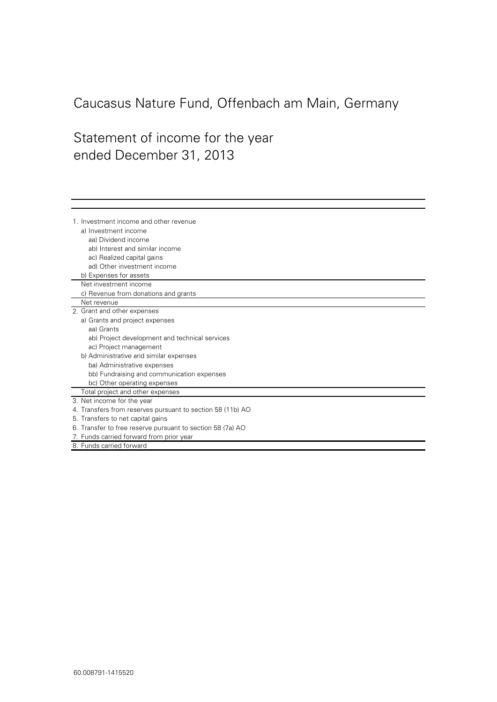# Statement of income for the vear ended December 31, 2013

8. Funds carried forward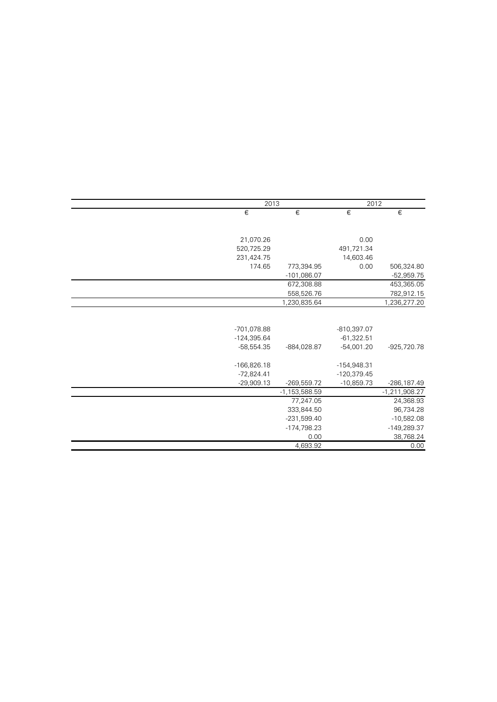| 2013          |                   | 2012          |                 |
|---------------|-------------------|---------------|-----------------|
| €             | €                 | €             | €               |
|               |                   |               |                 |
| 21,070.26     |                   | 0.00          |                 |
| 520,725.29    |                   | 491,721.34    |                 |
| 231,424.75    |                   | 14,603.46     |                 |
| 174.65        | 773,394.95        | 0.00          | 506,324.80      |
|               | $-101,086.07$     |               | $-52,959.75$    |
|               | 672,308.88        |               | 453,365.05      |
|               | 558,526.76        |               | 782,912.15      |
|               | 1,230,835.64      |               | 1,236,277.20    |
|               |                   |               |                 |
| -701,078.88   |                   | $-810,397.07$ |                 |
| $-124,395.64$ |                   | $-61,322.51$  |                 |
| $-58,554.35$  | -884,028.87       | $-54,001.20$  | -925,720.78     |
| $-166,826.18$ |                   | -154,948.31   |                 |
| $-72,824.41$  |                   | $-120,379.45$ |                 |
| $-29,909.13$  | $-269,559.72$     | $-10,859.73$  | -286,187.49     |
|               | $-1, 153, 588.59$ |               | $-1,211,908.27$ |
|               | 77,247.05         |               | 24,368.93       |
|               | 333,844.50        |               | 96,734.28       |
|               | $-231,599.40$     |               | $-10,582.08$    |
|               | -174,798.23       |               | -149,289.37     |
|               | 0.00              |               | 38,768.24       |
|               | 4,693.92          |               | 0.00            |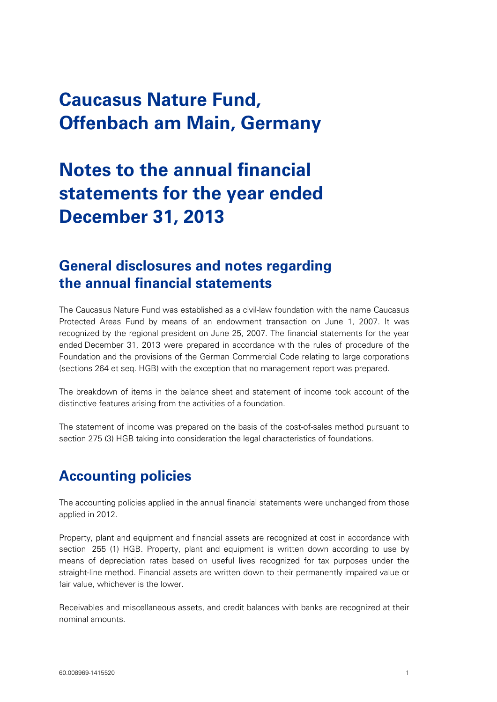# **Notes to the annual financial statements for the year ended December 31, 2013**

### **General disclosures and notes regarding the annual financial statements**

The Caucasus Nature Fund was established as a civil-law foundation with the name Caucasus Protected Areas Fund by means of an endowment transaction on June 1, 2007. It was recognized by the regional president on June 25, 2007. The financial statements for the year ended December 31, 2013 were prepared in accordance with the rules of procedure of the Foundation and the provisions of the German Commercial Code relating to large corporations (sections 264 et seq. HGB) with the exception that no management report was prepared.

The breakdown of items in the balance sheet and statement of income took account of the distinctive features arising from the activities of a foundation.

The statement of income was prepared on the basis of the cost-of-sales method pursuant to section 275 (3) HGB taking into consideration the legal characteristics of foundations.

# **Accounting policies**

The accounting policies applied in the annual financial statements were unchanged from those applied in 2012.

Property, plant and equipment and financial assets are recognized at cost in accordance with section 255 (1) HGB. Property, plant and equipment is written down according to use by means of depreciation rates based on useful lives recognized for tax purposes under the straight-line method. Financial assets are written down to their permanently impaired value or fair value, whichever is the lower.

Receivables and miscellaneous assets, and credit balances with banks are recognized at their nominal amounts.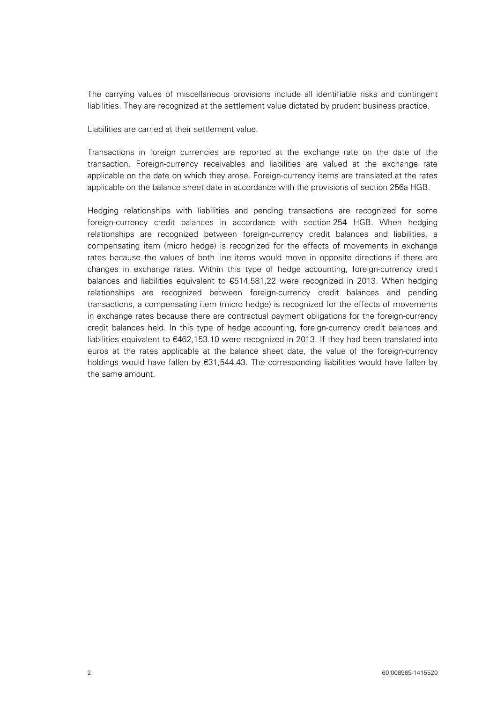The carrying values of miscellaneous provisions include all identifiable risks and contingent liabilities. They are recognized at the settlement value dictated by prudent business practice.

Liabilities are carried at their settlement value.

Transactions in foreign currencies are reported at the exchange rate on the date of the transaction. Foreign-currency receivables and liabilities are valued at the exchange rate applicable on the date on which they arose. Foreign-currency items are translated at the rates applicable on the balance sheet date in accordance with the provisions of section 256a HGB.

Hedging relationships with liabilities and pending transactions are recognized for some foreign-currency credit balances in accordance with section 254 HGB. When hedging relationships are recognized between foreign-currency credit balances and liabilities, a compensating item (micro hedge) is recognized for the effects of movements in exchange rates because the values of both line items would move in opposite directions if there are changes in exchange rates. Within this type of hedge accounting, foreign-currency credit balances and liabilities equivalent to  $\epsilon$ 514,581,22 were recognized in 2013. When hedging relationships are recognized between foreign-currency credit balances and pending transactions, a compensating item (micro hedge) is recognized for the effects of movements in exchange rates because there are contractual payment obligations for the foreign-currency credit balances held. In this type of hedge accounting, foreign-currency credit balances and liabilities equivalent to €462,153.10 were recognized in 2013. If they had been translated into euros at the rates applicable at the balance sheet date, the value of the foreign-currency holdings would have fallen by €31,544.43. The corresponding liabilities would have fallen by the same amount.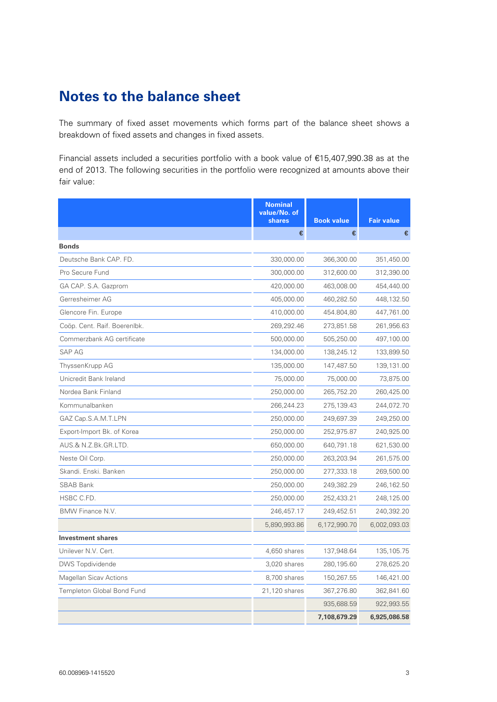## **Notes to the balance sheet**

The summary of fixed asset movements which forms part of the balance sheet shows a breakdown of fixed assets and changes in fixed assets.

Financial assets included a securities portfolio with a book value of €15,407,990.38 as at the end of 2013. The following securities in the portfolio were recognized at amounts above their fair value:

|                              | <b>Nominal</b><br>value/No. of<br>shares | <b>Book value</b> | <b>Fair value</b> |
|------------------------------|------------------------------------------|-------------------|-------------------|
|                              | €                                        | €                 | €                 |
| <b>Bonds</b>                 |                                          |                   |                   |
| Deutsche Bank CAP. FD.       | 330,000.00                               | 366,300.00        | 351,450.00        |
| Pro Secure Fund              | 300,000.00                               | 312,600.00        | 312,390.00        |
| GA CAP. S.A. Gazprom         | 420,000.00                               | 463,008.00        | 454,440.00        |
| Gerresheimer AG              | 405,000.00                               | 460,282.50        | 448,132.50        |
| Glencore Fin. Europe         | 410,000.00                               | 454.804,80        | 447,761.00        |
| Coöp. Cent. Raif. Boerenlbk. | 269,292.46                               | 273,851.58        | 261,956.63        |
| Commerzbank AG certificate   | 500,000.00                               | 505,250.00        | 497,100.00        |
| <b>SAP AG</b>                | 134,000.00                               | 138,245.12        | 133,899.50        |
| ThyssenKrupp AG              | 135,000.00                               | 147,487.50        | 139,131.00        |
| Unicredit Bank Ireland       | 75,000.00                                | 75,000.00         | 73,875.00         |
| Nordea Bank Finland          | 250,000.00                               | 265,752.20        | 260,425.00        |
| Kommunalbanken               | 266,244.23                               | 275,139.43        | 244,072.70        |
| GAZ Cap.S.A.M.T.LPN          | 250,000.00                               | 249,697.39        | 249,250.00        |
| Export-Import Bk. of Korea   | 250,000.00                               | 252,975.87        | 240,925.00        |
| AUS.& N.Z.Bk.GR.LTD.         | 650,000.00                               | 640,791.18        | 621,530.00        |
| Neste Oil Corp.              | 250,000.00                               | 263,203.94        | 261,575.00        |
| Skandi, Enski, Banken        | 250,000.00                               | 277,333.18        | 269,500.00        |
| <b>SBAB Bank</b>             | 250,000.00                               | 249,382.29        | 246,162.50        |
| HSBC C.FD.                   | 250,000.00                               | 252,433.21        | 248,125.00        |
| <b>BMW Finance N.V.</b>      | 246,457.17                               | 249,452.51        | 240,392.20        |
|                              | 5,890,993.86                             | 6,172,990.70      | 6,002,093.03      |
| <b>Investment shares</b>     |                                          |                   |                   |
| Unilever N.V. Cert.          | 4,650 shares                             | 137,948.64        | 135,105.75        |
| <b>DWS</b> Topdividende      | 3,020 shares                             | 280,195.60        | 278,625.20        |
| Magellan Sicav Actions       | 8,700 shares                             | 150,267.55        | 146,421.00        |
| Templeton Global Bond Fund   | 21,120 shares                            | 367,276.80        | 362,841.60        |
|                              |                                          | 935,688.59        | 922,993.55        |
|                              |                                          | 7,108,679.29      | 6,925,086.58      |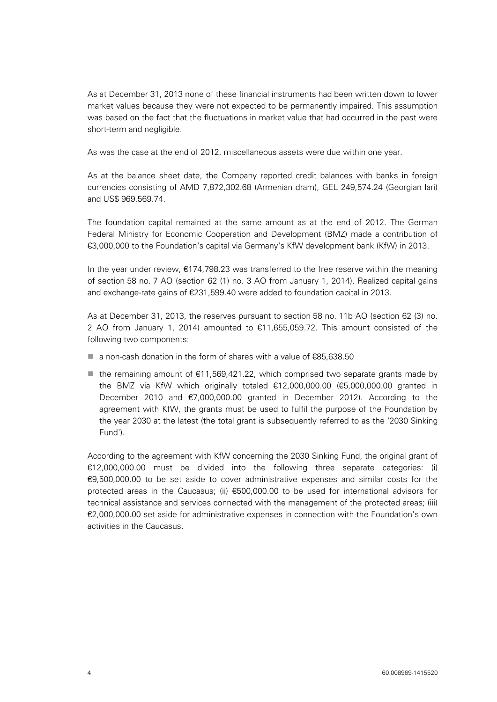As at December 31, 2013 none of these financial instruments had been written down to lower market values because they were not expected to be permanently impaired. This assumption was based on the fact that the fluctuations in market value that had occurred in the past were short-term and negligible.

As was the case at the end of 2012, miscellaneous assets were due within one year.

As at the balance sheet date, the Company reported credit balances with banks in foreign currencies consisting of AMD 7,872,302.68 (Armenian dram), GEL 249,574.24 (Georgian lari) and US\$ 969,569.74.

The foundation capital remained at the same amount as at the end of 2012. The German Federal Ministry for Economic Cooperation and Development (BMZ) made a contribution of €3,000,000 to the Foundation's capital via Germany's KfW development bank (KfW) in 2013.

In the year under review, €174,798.23 was transferred to the free reserve within the meaning of section 58 no. 7 AO (section 62 (1) no. 3 AO from January 1, 2014). Realized capital gains and exchange-rate gains of €231,599.40 were added to foundation capital in 2013.

As at December 31, 2013, the reserves pursuant to section 58 no. 11b AO (section 62 (3) no. 2 AO from January 1, 2014) amounted to €11,655,059.72. This amount consisted of the following two components:

- a non-cash donation in the form of shares with a value of €85,638.50
- **the remaining amount of €11,569,421,22, which comprised two separate grants made by** the BMZ via KfW which originally totaled €12,000,000.00 (€5,000,000.00 granted in December 2010 and €7,000,000.00 granted in December 2012). According to the agreement with KfW, the grants must be used to fulfil the purpose of the Foundation by the year 2030 at the latest (the total grant is subsequently referred to as the '2030 Sinking Fund').

According to the agreement with KfW concerning the 2030 Sinking Fund, the original grant of €12,000,000.00 must be divided into the following three separate categories: (i) €9,500,000.00 to be set aside to cover administrative expenses and similar costs for the protected areas in the Caucasus; (ii) €500,000.00 to be used for international advisors for technical assistance and services connected with the management of the protected areas; (iii) €2,000,000.00 set aside for administrative expenses in connection with the Foundation's own activities in the Caucasus.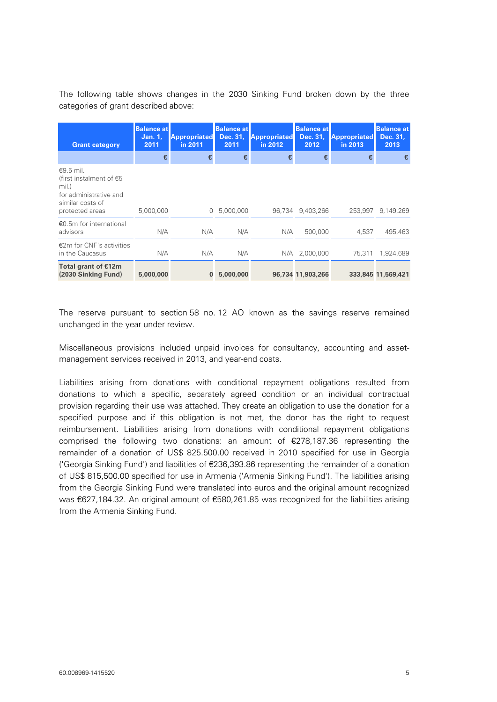The following table shows changes in the 2030 Sinking Fund broken down by the three categories of grant described above:

| <b>Grant category</b>                                                                                                      | <b>Balance at</b><br>Jan. 1,<br>2011 | <b>Appropriated</b><br>in 2011 | <b>Balance at</b><br>Dec. 31.<br>2011 | <b>Appropriated</b><br>in 2012 | <b>Balance at</b><br>Dec. 31,<br>2012 | <b>Appropriated</b><br>in 2013 | <b>Balance at</b><br>Dec. 31,<br>2013 |
|----------------------------------------------------------------------------------------------------------------------------|--------------------------------------|--------------------------------|---------------------------------------|--------------------------------|---------------------------------------|--------------------------------|---------------------------------------|
|                                                                                                                            | €                                    | €                              |                                       |                                |                                       | €                              | €                                     |
| $€9.5$ mil.<br>(first instalment of $\epsilon$ 5<br>mil.)<br>for administrative and<br>similar costs of<br>protected areas | 5,000,000                            | 0                              | 5,000,000                             |                                | 96.734 9.403.266                      | 253.997                        | 9.149.269                             |
| €0.5m for international<br>advisors                                                                                        | N/A                                  | N/A                            | N/A                                   | N/A                            | 500,000                               | 4.537                          | 495,463                               |
| €2m for CNF's activities<br>in the Caucasus                                                                                | N/A                                  | N/A                            | N/A                                   |                                | N/A 2,000,000                         | 75.311                         | 1,924,689                             |
| Total grant of €12m<br>(2030 Sinking Fund)                                                                                 | 5,000,000                            | $\bf{0}$                       | 5,000,000                             |                                | 96,734 11,903,266                     |                                | 333,845 11,569,421                    |

The reserve pursuant to section 58 no. 12 AO known as the savings reserve remained unchanged in the year under review.

Miscellaneous provisions included unpaid invoices for consultancy, accounting and assetmanagement services received in 2013, and year-end costs.

Liabilities arising from donations with conditional repayment obligations resulted from donations to which a specific, separately agreed condition or an individual contractual provision regarding their use was attached. They create an obligation to use the donation for a specified purpose and if this obligation is not met, the donor has the right to request reimbursement. Liabilities arising from donations with conditional repayment obligations comprised the following two donations: an amount of €278,187.36 representing the remainder of a donation of US\$ 825.500.00 received in 2010 specified for use in Georgia ('Georgia Sinking Fund') and liabilities of €236,393.86 representing the remainder of a donation of US\$ 815,500.00 specified for use in Armenia ('Armenia Sinking Fund'). The liabilities arising from the Georgia Sinking Fund were translated into euros and the original amount recognized was €627,184.32. An original amount of €580,261.85 was recognized for the liabilities arising from the Armenia Sinking Fund.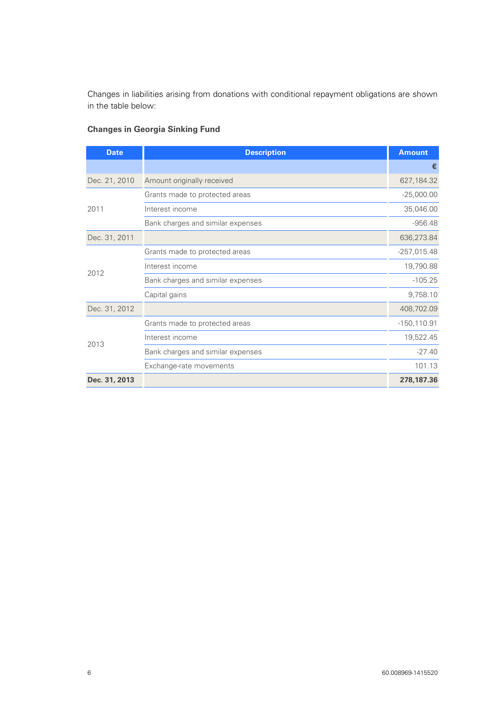Changes in liabilities arising from donations with conditional repayment obligations are shown in the table below:

| <b>Date</b>   | <b>Description</b>                | <b>Amount</b>  |
|---------------|-----------------------------------|----------------|
|               |                                   | €              |
| Dec. 21, 2010 | Amount originally received        | 627,184.32     |
|               | Grants made to protected areas    | $-25,000.00$   |
| 2011          | Interest income                   | 35,046.00      |
|               | Bank charges and similar expenses | $-956.48$      |
| Dec. 31, 2011 |                                   | 636,273.84     |
|               | Grants made to protected areas    | $-257,015.48$  |
| 2012          | Interest income                   | 19,790.88      |
|               | Bank charges and similar expenses | $-105.25$      |
|               | Capital gains                     | 9,758.10       |
| Dec. 31, 2012 |                                   | 408,702.09     |
|               | Grants made to protected areas    | $-150, 110.91$ |
|               | Interest income                   | 19,522.45      |
| 2013          | Bank charges and similar expenses | $-27.40$       |
|               | Exchange-rate movements           | 101.13         |
| Dec. 31, 2013 |                                   | 278,187.36     |

### **Changes in Georgia Sinking Fund**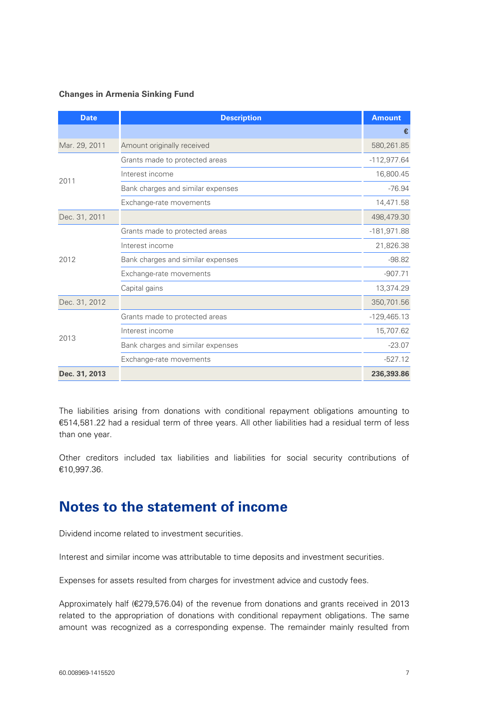### **Changes in Armenia Sinking Fund**

| <b>Date</b>   | <b>Description</b>                | <b>Amount</b> |
|---------------|-----------------------------------|---------------|
|               |                                   | €             |
| Mar. 29, 2011 | Amount originally received        | 580,261.85    |
|               | Grants made to protected areas    | $-112,977.64$ |
| 2011          | Interest income                   | 16,800.45     |
|               | Bank charges and similar expenses | $-76.94$      |
|               | Exchange-rate movements           | 14,471.58     |
| Dec. 31, 2011 |                                   | 498,479.30    |
|               | Grants made to protected areas    | $-181,971.88$ |
|               | Interest income                   | 21,826.38     |
| 2012          | Bank charges and similar expenses | $-98.82$      |
|               | Exchange-rate movements           | $-907.71$     |
|               | Capital gains                     | 13,374.29     |
| Dec. 31, 2012 |                                   | 350,701.56    |
|               | Grants made to protected areas    | $-129,465.13$ |
|               | Interest income                   | 15,707.62     |
| 2013          | Bank charges and similar expenses | $-23.07$      |
|               | Exchange-rate movements           | $-527.12$     |
| Dec. 31, 2013 |                                   | 236,393.86    |

The liabilities arising from donations with conditional repayment obligations amounting to €514,581.22 had a residual term of three years. All other liabilities had a residual term of less than one year.

Other creditors included tax liabilities and liabilities for social security contributions of €10,997.36.

### **Notes to the statement of income**

Dividend income related to investment securities.

Interest and similar income was attributable to time deposits and investment securities.

Expenses for assets resulted from charges for investment advice and custody fees.

Approximately half (€279,576.04) of the revenue from donations and grants received in 2013 related to the appropriation of donations with conditional repayment obligations. The same amount was recognized as a corresponding expense. The remainder mainly resulted from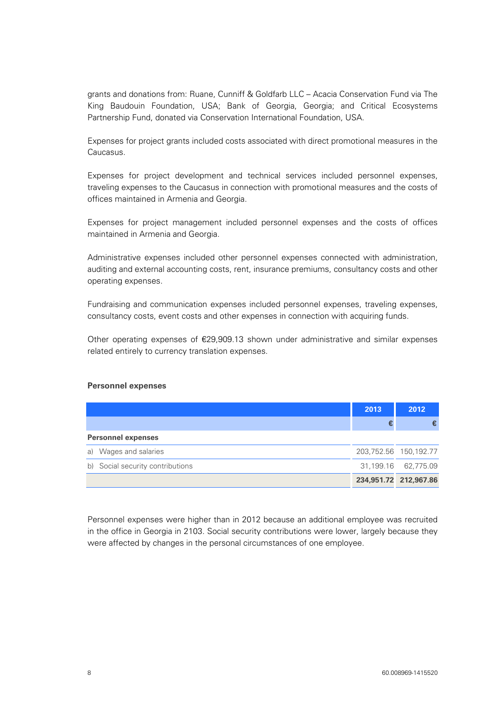grants and donations from: Ruane, Cunniff & Goldfarb LLC – Acacia Conservation Fund via The King Baudouin Foundation, USA; Bank of Georgia, Georgia; and Critical Ecosystems Partnership Fund, donated via Conservation International Foundation, USA.

Expenses for project grants included costs associated with direct promotional measures in the Caucasus.

Expenses for project development and technical services included personnel expenses, traveling expenses to the Caucasus in connection with promotional measures and the costs of offices maintained in Armenia and Georgia.

Expenses for project management included personnel expenses and the costs of offices maintained in Armenia and Georgia.

Administrative expenses included other personnel expenses connected with administration, auditing and external accounting costs, rent, insurance premiums, consultancy costs and other operating expenses.

Fundraising and communication expenses included personnel expenses, traveling expenses, consultancy costs, event costs and other expenses in connection with acquiring funds.

Other operating expenses of €29,909.13 shown under administrative and similar expenses related entirely to currency translation expenses.

#### **Personnel expenses**

|                                  | 2013 | 2012                  |
|----------------------------------|------|-----------------------|
|                                  |      |                       |
| <b>Personnel expenses</b>        |      |                       |
| Wages and salaries<br>a)         |      | 203,752.56 150,192.77 |
| b) Social security contributions |      | 31,199.16 62,775.09   |
|                                  |      | 234,951.72 212,967.86 |

Personnel expenses were higher than in 2012 because an additional employee was recruited in the office in Georgia in 2103. Social security contributions were lower, largely because they were affected by changes in the personal circumstances of one employee.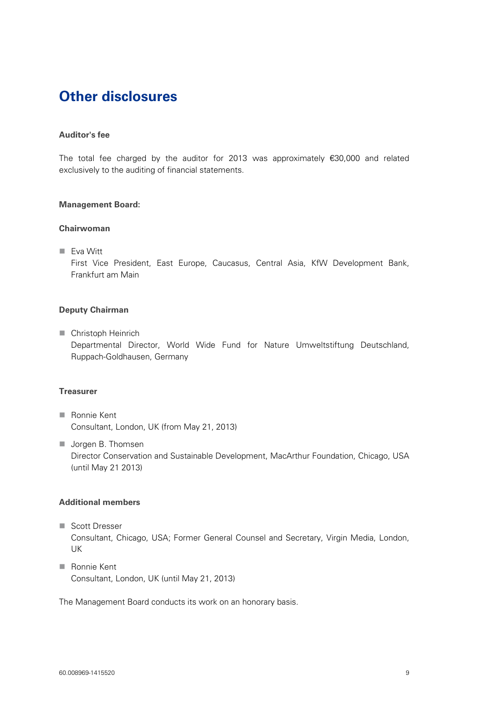# **Other disclosures**

### **Auditor's fee**

The total fee charged by the auditor for 2013 was approximately €30,000 and related exclusively to the auditing of financial statements.

### **Management Board:**

### **Chairwoman**

**Eva Witt** 

First Vice President, East Europe, Caucasus, Central Asia, KfW Development Bank, Frankfurt am Main

### **Deputy Chairman**

**Christoph Heinrich** Departmental Director, World Wide Fund for Nature Umweltstiftung Deutschland, Ruppach-Goldhausen, Germany

### **Treasurer**

- Ronnie Kent Consultant, London, UK (from May 21, 2013)
- **Jorgen B. Thomsen** Director Conservation and Sustainable Development, MacArthur Foundation, Chicago, USA (until May 21 2013)

### **Additional members**

- Scott Dresser Consultant, Chicago, USA; Former General Counsel and Secretary, Virgin Media, London, UK
- Ronnie Kent Consultant, London, UK (until May 21, 2013)

The Management Board conducts its work on an honorary basis.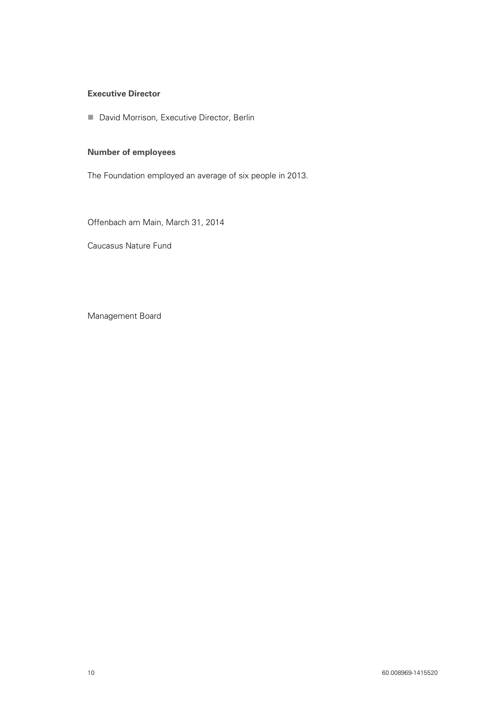### **Executive Director**

**David Morrison, Executive Director, Berlin** 

### **Number of employees**

The Foundation employed an average of six people in 2013.

Offenbach am Main, March 31, 2014

Caucasus Nature Fund

Management Board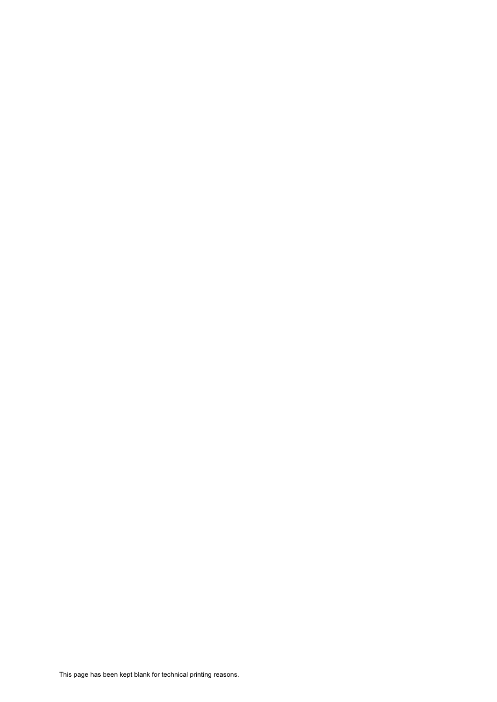This page has been kept blank for technical printing reasons.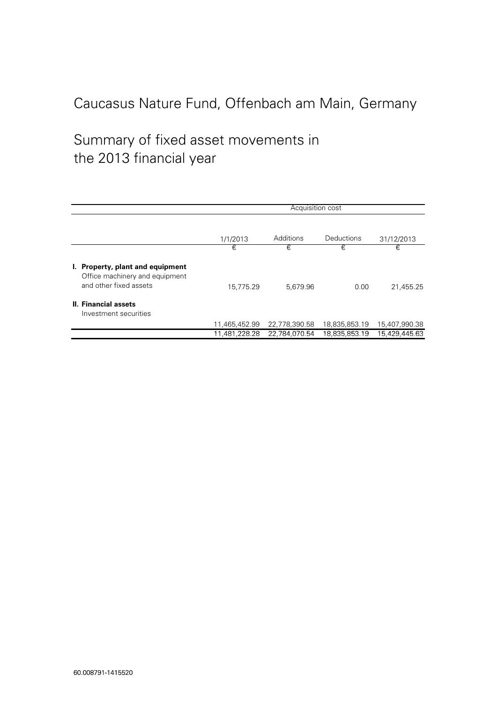# Summary of fixed asset movements in the 2013 financial vear

|                                                                                              |               | Acquisition cost |               |               |  |  |  |
|----------------------------------------------------------------------------------------------|---------------|------------------|---------------|---------------|--|--|--|
|                                                                                              | 1/1/2013      | Additions        | Deductions    | 31/12/2013    |  |  |  |
|                                                                                              | €             | €                | €             | €             |  |  |  |
| I. Property, plant and equipment<br>Office machinery and equipment<br>and other fixed assets | 15,775.29     | 5,679.96         | 0.00          | 21,455.25     |  |  |  |
| II. Financial assets<br>Investment securities                                                |               |                  |               |               |  |  |  |
|                                                                                              | 11,465,452.99 | 22,778,390.58    | 18,835,853.19 | 15,407,990.38 |  |  |  |
|                                                                                              | 11.481.228.28 | 22.784.070.54    | 18.835.853.19 | 15.429.445.63 |  |  |  |